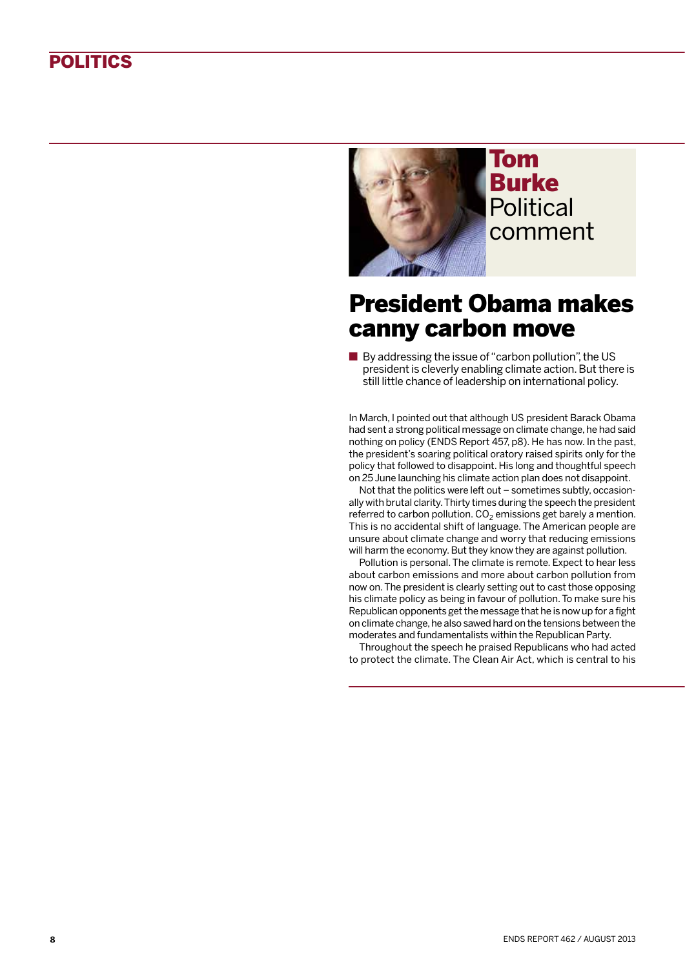## **POLITICS**



## Tom Burke **Political** comment

## President Obama makes canny carbon move

■ By addressing the issue of "carbon pollution", the US president is cleverly enabling climate action. But there is still little chance of leadership on international policy.

In March, I pointed out that although US president Barack Obama had sent a strong political message on climate change, he had said nothing on policy (ENDS Report 457, p8). He has now. In the past, the president's soaring political oratory raised spirits only for the policy that followed to disappoint. His long and thoughtful speech on 25 June launching his climate action plan does not disappoint.

Not that the politics were left out – sometimes subtly, occasionally with brutal clarity. Thirty times during the speech the president referred to carbon pollution.  $CO<sub>2</sub>$  emissions get barely a mention. This is no accidental shift of language. The American people are unsure about climate change and worry that reducing emissions will harm the economy. But they know they are against pollution.

Pollution is personal. The climate is remote. Expect to hear less about carbon emissions and more about carbon pollution from now on. The president is clearly setting out to cast those opposing his climate policy as being in favour of pollution. To make sure his Republican opponents get the message that he is now up for a fight on climate change, he also sawed hard on the tensions between the moderates and fundamentalists within the Republican Party.

Throughout the speech he praised Republicans who had acted to protect the climate. The Clean Air Act, which is central to his